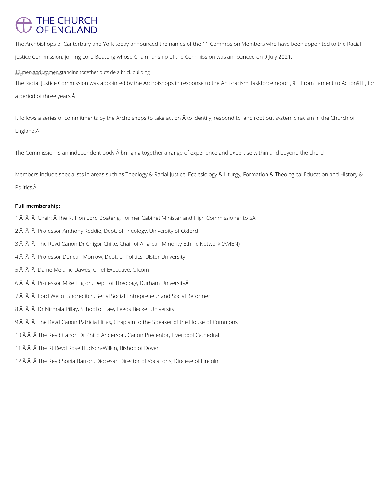# THE CHURCH<br>OF ENGLAND

The Archbishops of Canterbury and York today announced the names of the 11 Commission Members who have been appointed to the Racial justice Commission, joining Lord Boateng whose Chairmanship of the Commission was announced on 9 July 2021.

12 men and women standing together outside a brick building

The Racial Justice Commission was appointed by the Archbishops in response to the Anti-racism Taskforce report, âDDFrom Lament to ActionâDD, for a period of three years.

It follows a series of commitments by the Archbishops to take action to identify, respond to, and root out systemic racism in the Church of England.

The Commission is an independent body  $\hat{A}$  bringing together a range of experience and expertise within and beyond the church.

Members include specialists in areas such as Theology & Racial Justice; Ecclesiology & Liturgy; Formation & Theological Education and History & Politics. $\hat{A}$ 

## **Full membership:**

- 1. A A A Chair: A The Rt Hon Lord Boateng, Former Cabinet Minister and High Commissioner to SA
- 2. A A Professor Anthony Reddie, Dept. of Theology, University of Oxford
- 3. A A The Revd Canon Dr Chigor Chike, Chair of Anglican Minority Ethnic Network (AMEN)
- 4. Â Â Professor Duncan Morrow, Dept. of Politics, Ulster University
- 5. A A Dame Melanie Dawes, Chief Executive, Ofcom
- 6. $\hat{A}$   $\hat{A}$   $\hat{A}$  Professor Mike Higton, Dept. of Theology, Durham University $\hat{A}$
- 7. A  $\hat{A}$   $\hat{A}$  Lord Wei of Shoreditch, Serial Social Entrepreneur and Social Reformer
- 8. Â Â Dr Nirmala Pillay, School of Law, Leeds Becket University
- 9. A A The Revd Canon Patricia Hillas, Chaplain to the Speaker of the House of Commons
- 10. Â Â The Revd Canon Dr Philip Anderson, Canon Precentor, Liverpool Cathedral
- 11. A A A The Rt Revd Rose Hudson-Wilkin, Bishop of Dover
- 12. A A The Revd Sonia Barron, Diocesan Director of Vocations, Diocese of Lincoln